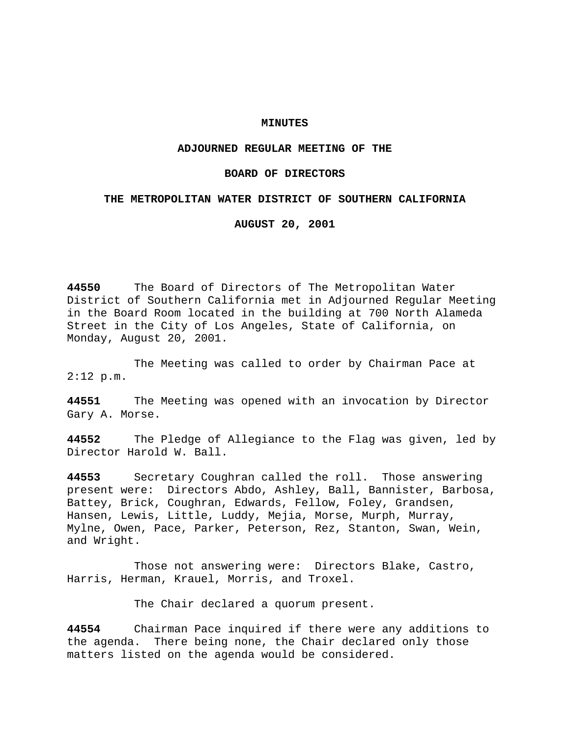## **MINUTES**

# **ADJOURNED REGULAR MEETING OF THE**

## **BOARD OF DIRECTORS**

## **THE METROPOLITAN WATER DISTRICT OF SOUTHERN CALIFORNIA**

**AUGUST 20, 2001**

**44550** The Board of Directors of The Metropolitan Water District of Southern California met in Adjourned Regular Meeting in the Board Room located in the building at 700 North Alameda Street in the City of Los Angeles, State of California, on Monday, August 20, 2001.

The Meeting was called to order by Chairman Pace at 2:12 p.m.

**44551** The Meeting was opened with an invocation by Director Gary A. Morse.

**44552** The Pledge of Allegiance to the Flag was given, led by Director Harold W. Ball.

**44553** Secretary Coughran called the roll. Those answering present were: Directors Abdo, Ashley, Ball, Bannister, Barbosa, Battey, Brick, Coughran, Edwards, Fellow, Foley, Grandsen, Hansen, Lewis, Little, Luddy, Mejia, Morse, Murph, Murray, Mylne, Owen, Pace, Parker, Peterson, Rez, Stanton, Swan, Wein, and Wright.

Those not answering were: Directors Blake, Castro, Harris, Herman, Krauel, Morris, and Troxel.

The Chair declared a quorum present.

**44554** Chairman Pace inquired if there were any additions to the agenda. There being none, the Chair declared only those matters listed on the agenda would be considered.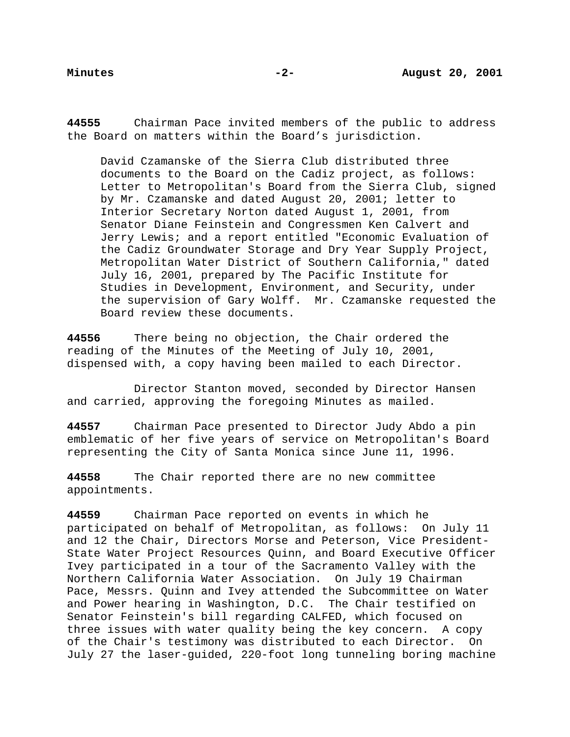**44555** Chairman Pace invited members of the public to address the Board on matters within the Board's jurisdiction.

David Czamanske of the Sierra Club distributed three documents to the Board on the Cadiz project, as follows: Letter to Metropolitan's Board from the Sierra Club, signed by Mr. Czamanske and dated August 20, 2001; letter to Interior Secretary Norton dated August 1, 2001, from Senator Diane Feinstein and Congressmen Ken Calvert and Jerry Lewis; and a report entitled "Economic Evaluation of the Cadiz Groundwater Storage and Dry Year Supply Project, Metropolitan Water District of Southern California," dated July 16, 2001, prepared by The Pacific Institute for Studies in Development, Environment, and Security, under the supervision of Gary Wolff. Mr. Czamanske requested the Board review these documents.

**44556** There being no objection, the Chair ordered the reading of the Minutes of the Meeting of July 10, 2001, dispensed with, a copy having been mailed to each Director.

Director Stanton moved, seconded by Director Hansen and carried, approving the foregoing Minutes as mailed.

**44557** Chairman Pace presented to Director Judy Abdo a pin emblematic of her five years of service on Metropolitan's Board representing the City of Santa Monica since June 11, 1996.

**44558** The Chair reported there are no new committee appointments.

**44559** Chairman Pace reported on events in which he participated on behalf of Metropolitan, as follows: On July 11 and 12 the Chair, Directors Morse and Peterson, Vice President-State Water Project Resources Quinn, and Board Executive Officer Ivey participated in a tour of the Sacramento Valley with the Northern California Water Association. On July 19 Chairman Pace, Messrs. Quinn and Ivey attended the Subcommittee on Water and Power hearing in Washington, D.C. The Chair testified on Senator Feinstein's bill regarding CALFED, which focused on three issues with water quality being the key concern. A copy of the Chair's testimony was distributed to each Director. On July 27 the laser-guided, 220-foot long tunneling boring machine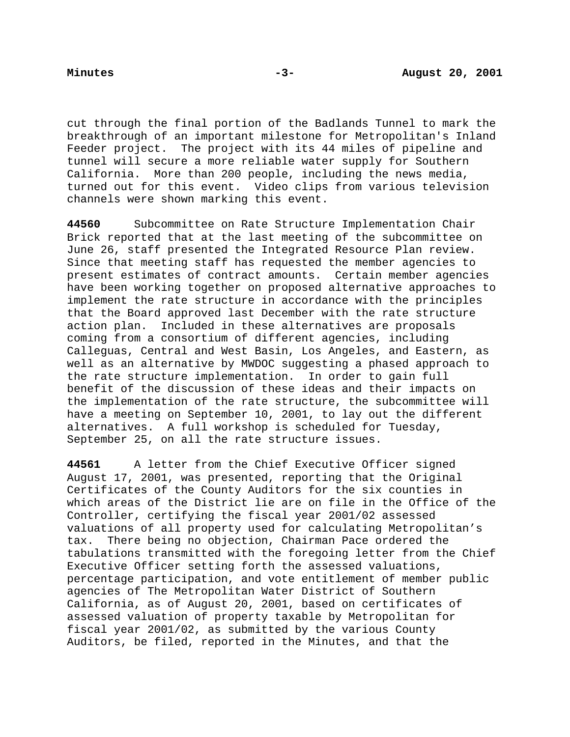cut through the final portion of the Badlands Tunnel to mark the breakthrough of an important milestone for Metropolitan's Inland Feeder project. The project with its 44 miles of pipeline and tunnel will secure a more reliable water supply for Southern California. More than 200 people, including the news media, turned out for this event. Video clips from various television channels were shown marking this event.

**44560** Subcommittee on Rate Structure Implementation Chair Brick reported that at the last meeting of the subcommittee on June 26, staff presented the Integrated Resource Plan review. Since that meeting staff has requested the member agencies to present estimates of contract amounts. Certain member agencies have been working together on proposed alternative approaches to implement the rate structure in accordance with the principles that the Board approved last December with the rate structure action plan. Included in these alternatives are proposals coming from a consortium of different agencies, including Calleguas, Central and West Basin, Los Angeles, and Eastern, as well as an alternative by MWDOC suggesting a phased approach to the rate structure implementation. In order to gain full benefit of the discussion of these ideas and their impacts on the implementation of the rate structure, the subcommittee will have a meeting on September 10, 2001, to lay out the different alternatives. A full workshop is scheduled for Tuesday, September 25, on all the rate structure issues.

**44561** A letter from the Chief Executive Officer signed August 17, 2001, was presented, reporting that the Original Certificates of the County Auditors for the six counties in which areas of the District lie are on file in the Office of the Controller, certifying the fiscal year 2001/02 assessed valuations of all property used for calculating Metropolitan's tax. There being no objection, Chairman Pace ordered the tabulations transmitted with the foregoing letter from the Chief Executive Officer setting forth the assessed valuations, percentage participation, and vote entitlement of member public agencies of The Metropolitan Water District of Southern California, as of August 20, 2001, based on certificates of assessed valuation of property taxable by Metropolitan for fiscal year 2001/02, as submitted by the various County Auditors, be filed, reported in the Minutes, and that the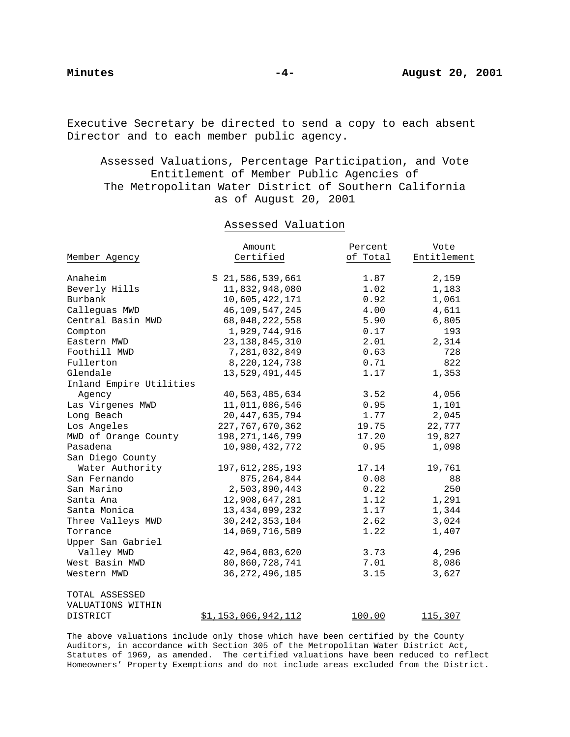Executive Secretary be directed to send a copy to each absent Director and to each member public agency.

Assessed Valuations, Percentage Participation, and Vote Entitlement of Member Public Agencies of The Metropolitan Water District of Southern California as of August 20, 2001

# Assessed Valuation

|                         | Amount                     | Percent  | Vote        |
|-------------------------|----------------------------|----------|-------------|
| Member Agency           | Certified                  | of Total | Entitlement |
|                         |                            |          |             |
| Anaheim                 | \$21,586,539,661           | 1.87     | 2,159       |
| Beverly Hills           | 11,832,948,080             | 1.02     | 1,183       |
| Burbank                 | 10,605,422,171             | 0.92     | 1,061       |
| Calleguas MWD           | 46, 109, 547, 245          | 4.00     | 4,611       |
| Central Basin MWD       | 68,048,222,558             | 5.90     | 6,805       |
| Compton                 | 1,929,744,916              | 0.17     | 193         |
| Eastern MWD             | 23, 138, 845, 310          | 2.01     | 2,314       |
| Foothill MWD            | 7,281,032,849              | 0.63     | 728         |
| Fullerton               | 8, 220, 124, 738           | 0.71     | 822         |
| Glendale                | 13,529,491,445             | 1.17     | 1,353       |
| Inland Empire Utilities |                            |          |             |
| Agency                  | 40,563,485,634             | 3.52     | 4,056       |
| Las Virgenes MWD        | 11,011,086,546             | 0.95     | 1,101       |
| Long Beach              | 20, 447, 635, 794          | 1.77     | 2,045       |
| Los Angeles             | 227, 767, 670, 362         | 19.75    | 22,777      |
| MWD of Orange County    | 198, 271, 146, 799         | 17.20    | 19,827      |
| Pasadena                | 10,980,432,772             | 0.95     | 1,098       |
| San Diego County        |                            |          |             |
| Water Authority         | 197, 612, 285, 193         | 17.14    | 19,761      |
| San Fernando            | 875, 264, 844              | 0.08     | 88          |
| San Marino              | 2,503,890,443              | 0.22     | 250         |
| Santa Ana               | 12,908,647,281             | 1.12     | 1,291       |
| Santa Monica            | 13, 434, 099, 232          | 1.17     | 1,344       |
| Three Valleys MWD       | 30, 242, 353, 104          | 2.62     | 3,024       |
| Torrance                | 14,069,716,589             | 1.22     | 1,407       |
| Upper San Gabriel       |                            |          |             |
| Valley MWD              | 42,964,083,620             | 3.73     | 4,296       |
| West Basin MWD          | 80,860,728,741             | 7.01     | 8,086       |
| Western MWD             | 36, 272, 496, 185          | 3.15     | 3,627       |
| TOTAL ASSESSED          |                            |          |             |
| VALUATIONS WITHIN       |                            |          |             |
| DISTRICT                | <u>\$1,153,066,942,112</u> | 100.00   | 115,307     |

The above valuations include only those which have been certified by the County Auditors, in accordance with Section 305 of the Metropolitan Water District Act, Statutes of 1969, as amended. The certified valuations have been reduced to reflect Homeowners' Property Exemptions and do not include areas excluded from the District.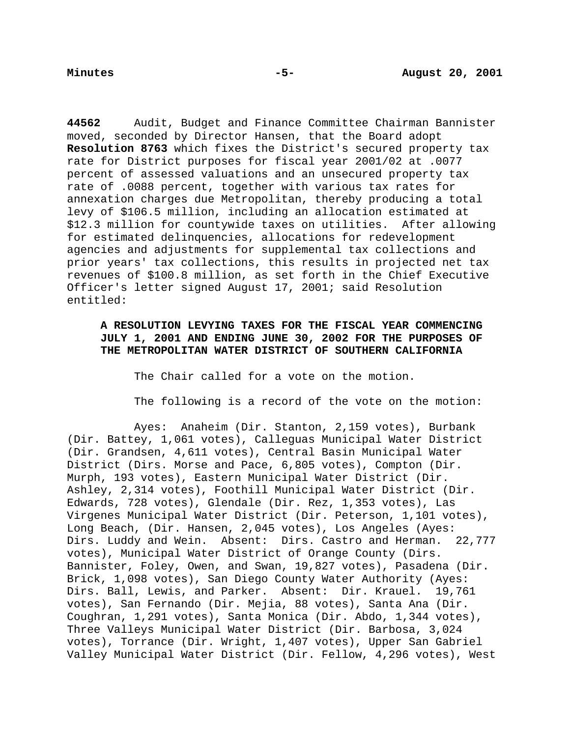**44562** Audit, Budget and Finance Committee Chairman Bannister moved, seconded by Director Hansen, that the Board adopt **Resolution 8763** which fixes the District's secured property tax rate for District purposes for fiscal year 2001/02 at .0077 percent of assessed valuations and an unsecured property tax rate of .0088 percent, together with various tax rates for annexation charges due Metropolitan, thereby producing a total levy of \$106.5 million, including an allocation estimated at \$12.3 million for countywide taxes on utilities. After allowing for estimated delinquencies, allocations for redevelopment agencies and adjustments for supplemental tax collections and prior years' tax collections, this results in projected net tax revenues of \$100.8 million, as set forth in the Chief Executive Officer's letter signed August 17, 2001; said Resolution entitled:

# **A RESOLUTION LEVYING TAXES FOR THE FISCAL YEAR COMMENCING JULY 1, 2001 AND ENDING JUNE 30, 2002 FOR THE PURPOSES OF THE METROPOLITAN WATER DISTRICT OF SOUTHERN CALIFORNIA**

The Chair called for a vote on the motion.

The following is a record of the vote on the motion:

Ayes: Anaheim (Dir. Stanton, 2,159 votes), Burbank (Dir. Battey, 1,061 votes), Calleguas Municipal Water District (Dir. Grandsen, 4,611 votes), Central Basin Municipal Water District (Dirs. Morse and Pace, 6,805 votes), Compton (Dir. Murph, 193 votes), Eastern Municipal Water District (Dir. Ashley, 2,314 votes), Foothill Municipal Water District (Dir. Edwards, 728 votes), Glendale (Dir. Rez, 1,353 votes), Las Virgenes Municipal Water District (Dir. Peterson, 1,101 votes), Long Beach, (Dir. Hansen, 2,045 votes), Los Angeles (Ayes: Dirs. Luddy and Wein. Absent: Dirs. Castro and Herman. 22,777 votes), Municipal Water District of Orange County (Dirs. Bannister, Foley, Owen, and Swan, 19,827 votes), Pasadena (Dir. Brick, 1,098 votes), San Diego County Water Authority (Ayes: Dirs. Ball, Lewis, and Parker. Absent: Dir. Krauel. 19,761 votes), San Fernando (Dir. Mejia, 88 votes), Santa Ana (Dir. Coughran, 1,291 votes), Santa Monica (Dir. Abdo, 1,344 votes), Three Valleys Municipal Water District (Dir. Barbosa, 3,024 votes), Torrance (Dir. Wright, 1,407 votes), Upper San Gabriel Valley Municipal Water District (Dir. Fellow, 4,296 votes), West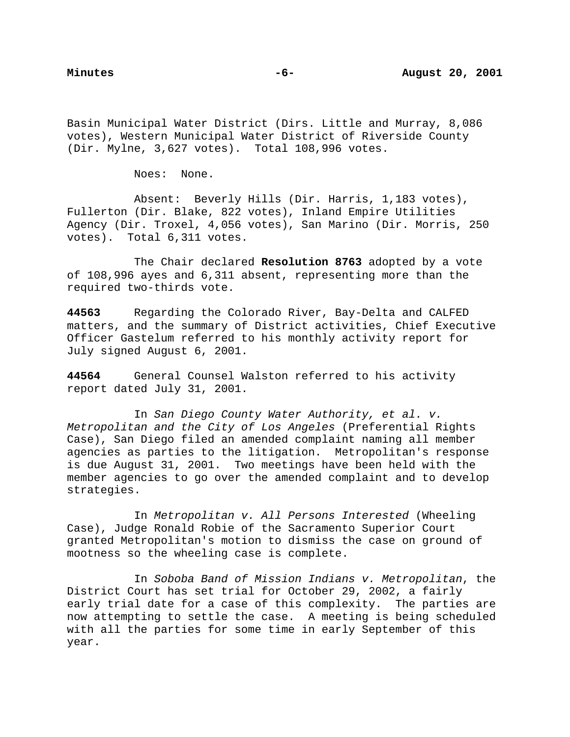Basin Municipal Water District (Dirs. Little and Murray, 8,086 votes), Western Municipal Water District of Riverside County (Dir. Mylne, 3,627 votes). Total 108,996 votes.

Noes: None.

Absent: Beverly Hills (Dir. Harris, 1,183 votes), Fullerton (Dir. Blake, 822 votes), Inland Empire Utilities Agency (Dir. Troxel, 4,056 votes), San Marino (Dir. Morris, 250 votes). Total 6,311 votes.

The Chair declared **Resolution 8763** adopted by a vote of 108,996 ayes and 6,311 absent, representing more than the required two-thirds vote.

**44563** Regarding the Colorado River, Bay-Delta and CALFED matters, and the summary of District activities, Chief Executive Officer Gastelum referred to his monthly activity report for July signed August 6, 2001.

**44564** General Counsel Walston referred to his activity report dated July 31, 2001.

In San Diego County Water Authority, et al. v. Metropolitan and the City of Los Angeles (Preferential Rights Case), San Diego filed an amended complaint naming all member agencies as parties to the litigation. Metropolitan's response is due August 31, 2001. Two meetings have been held with the member agencies to go over the amended complaint and to develop strategies.

In Metropolitan v. All Persons Interested (Wheeling Case), Judge Ronald Robie of the Sacramento Superior Court granted Metropolitan's motion to dismiss the case on ground of mootness so the wheeling case is complete.

In Soboba Band of Mission Indians v. Metropolitan, the District Court has set trial for October 29, 2002, a fairly early trial date for a case of this complexity. The parties are now attempting to settle the case. A meeting is being scheduled with all the parties for some time in early September of this year.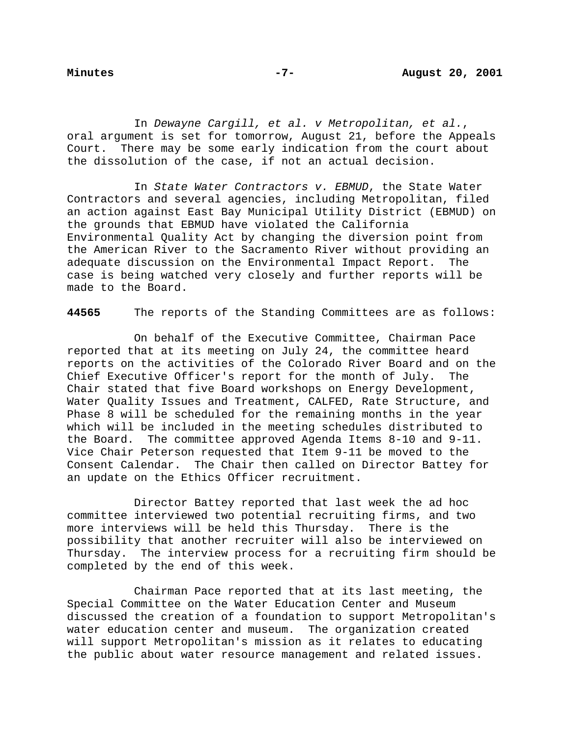In Dewayne Cargill, et al. v Metropolitan, et al., oral argument is set for tomorrow, August 21, before the Appeals Court. There may be some early indication from the court about the dissolution of the case, if not an actual decision.

In State Water Contractors v. EBMUD, the State Water Contractors and several agencies, including Metropolitan, filed an action against East Bay Municipal Utility District (EBMUD) on the grounds that EBMUD have violated the California Environmental Quality Act by changing the diversion point from the American River to the Sacramento River without providing an adequate discussion on the Environmental Impact Report. The case is being watched very closely and further reports will be made to the Board.

**44565** The reports of the Standing Committees are as follows:

On behalf of the Executive Committee, Chairman Pace reported that at its meeting on July 24, the committee heard reports on the activities of the Colorado River Board and on the Chief Executive Officer's report for the month of July. The Chair stated that five Board workshops on Energy Development, Water Quality Issues and Treatment, CALFED, Rate Structure, and Phase 8 will be scheduled for the remaining months in the year which will be included in the meeting schedules distributed to the Board. The committee approved Agenda Items 8-10 and 9-11. Vice Chair Peterson requested that Item 9-11 be moved to the Consent Calendar. The Chair then called on Director Battey for an update on the Ethics Officer recruitment.

Director Battey reported that last week the ad hoc committee interviewed two potential recruiting firms, and two more interviews will be held this Thursday. There is the possibility that another recruiter will also be interviewed on Thursday. The interview process for a recruiting firm should be completed by the end of this week.

Chairman Pace reported that at its last meeting, the Special Committee on the Water Education Center and Museum discussed the creation of a foundation to support Metropolitan's water education center and museum. The organization created will support Metropolitan's mission as it relates to educating the public about water resource management and related issues.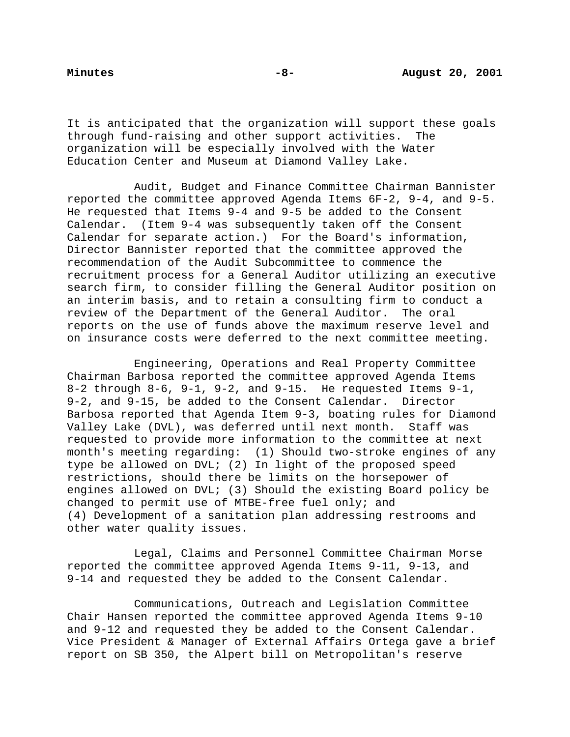It is anticipated that the organization will support these goals through fund-raising and other support activities. The organization will be especially involved with the Water Education Center and Museum at Diamond Valley Lake.

Audit, Budget and Finance Committee Chairman Bannister reported the committee approved Agenda Items 6F-2, 9-4, and 9-5. He requested that Items 9-4 and 9-5 be added to the Consent Calendar. (Item 9-4 was subsequently taken off the Consent Calendar for separate action.) For the Board's information, Director Bannister reported that the committee approved the recommendation of the Audit Subcommittee to commence the recruitment process for a General Auditor utilizing an executive search firm, to consider filling the General Auditor position on an interim basis, and to retain a consulting firm to conduct a review of the Department of the General Auditor. The oral reports on the use of funds above the maximum reserve level and on insurance costs were deferred to the next committee meeting.

Engineering, Operations and Real Property Committee Chairman Barbosa reported the committee approved Agenda Items 8-2 through 8-6, 9-1, 9-2, and 9-15. He requested Items 9-1, 9-2, and 9-15, be added to the Consent Calendar. Director Barbosa reported that Agenda Item 9-3, boating rules for Diamond Valley Lake (DVL), was deferred until next month. Staff was requested to provide more information to the committee at next month's meeting regarding: (1) Should two-stroke engines of any type be allowed on DVL; (2) In light of the proposed speed restrictions, should there be limits on the horsepower of engines allowed on DVL; (3) Should the existing Board policy be changed to permit use of MTBE-free fuel only; and (4) Development of a sanitation plan addressing restrooms and other water quality issues.

Legal, Claims and Personnel Committee Chairman Morse reported the committee approved Agenda Items 9-11, 9-13, and 9-14 and requested they be added to the Consent Calendar.

Communications, Outreach and Legislation Committee Chair Hansen reported the committee approved Agenda Items 9-10 and 9-12 and requested they be added to the Consent Calendar. Vice President & Manager of External Affairs Ortega gave a brief report on SB 350, the Alpert bill on Metropolitan's reserve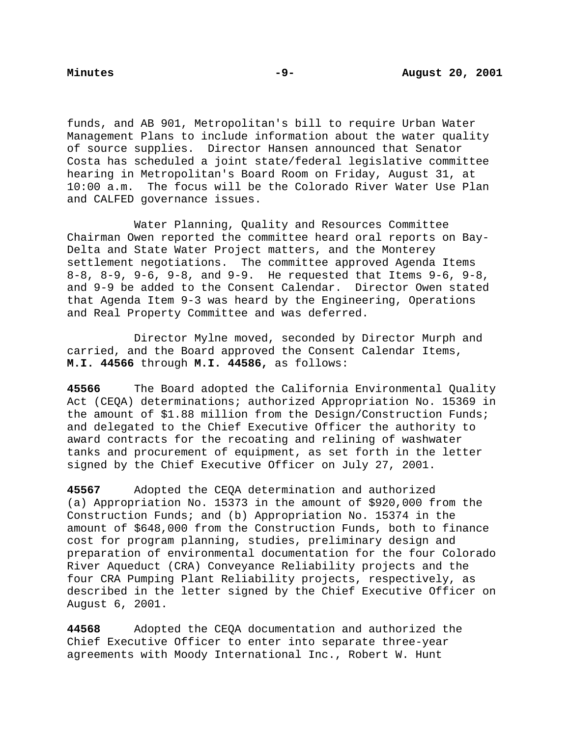funds, and AB 901, Metropolitan's bill to require Urban Water Management Plans to include information about the water quality of source supplies. Director Hansen announced that Senator Costa has scheduled a joint state/federal legislative committee hearing in Metropolitan's Board Room on Friday, August 31, at 10:00 a.m. The focus will be the Colorado River Water Use Plan and CALFED governance issues.

Water Planning, Quality and Resources Committee Chairman Owen reported the committee heard oral reports on Bay-Delta and State Water Project matters, and the Monterey settlement negotiations. The committee approved Agenda Items 8-8, 8-9, 9-6, 9-8, and 9-9. He requested that Items 9-6, 9-8, and 9-9 be added to the Consent Calendar. Director Owen stated that Agenda Item 9-3 was heard by the Engineering, Operations and Real Property Committee and was deferred.

Director Mylne moved, seconded by Director Murph and carried, and the Board approved the Consent Calendar Items, **M.I. 44566** through **M.I. 44586,** as follows:

**45566** The Board adopted the California Environmental Quality Act (CEQA) determinations; authorized Appropriation No. 15369 in the amount of \$1.88 million from the Design/Construction Funds; and delegated to the Chief Executive Officer the authority to award contracts for the recoating and relining of washwater tanks and procurement of equipment, as set forth in the letter signed by the Chief Executive Officer on July 27, 2001.

**45567** Adopted the CEQA determination and authorized (a) Appropriation No. 15373 in the amount of \$920,000 from the Construction Funds; and (b) Appropriation No. 15374 in the amount of \$648,000 from the Construction Funds, both to finance cost for program planning, studies, preliminary design and preparation of environmental documentation for the four Colorado River Aqueduct (CRA) Conveyance Reliability projects and the four CRA Pumping Plant Reliability projects, respectively, as described in the letter signed by the Chief Executive Officer on August 6, 2001.

**44568** Adopted the CEQA documentation and authorized the Chief Executive Officer to enter into separate three-year agreements with Moody International Inc., Robert W. Hunt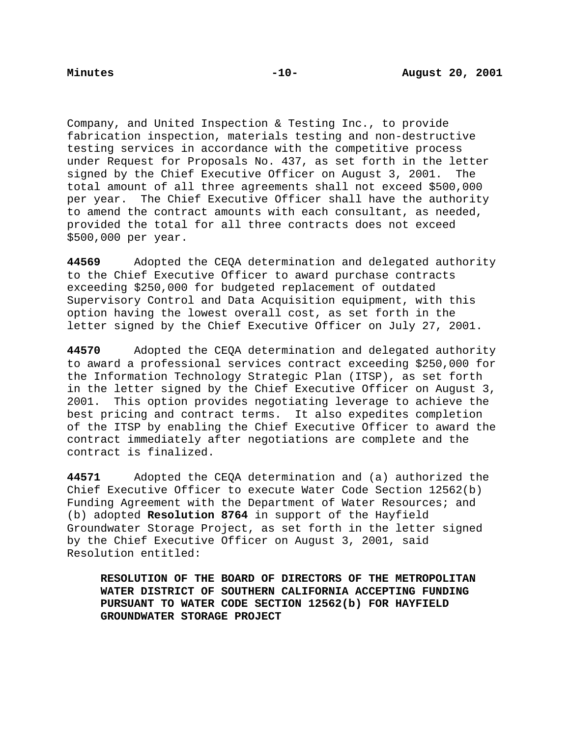Company, and United Inspection & Testing Inc., to provide fabrication inspection, materials testing and non-destructive testing services in accordance with the competitive process under Request for Proposals No. 437, as set forth in the letter signed by the Chief Executive Officer on August 3, 2001. The total amount of all three agreements shall not exceed \$500,000 per year. The Chief Executive Officer shall have the authority to amend the contract amounts with each consultant, as needed, provided the total for all three contracts does not exceed \$500,000 per year.

**44569** Adopted the CEQA determination and delegated authority to the Chief Executive Officer to award purchase contracts exceeding \$250,000 for budgeted replacement of outdated Supervisory Control and Data Acquisition equipment, with this option having the lowest overall cost, as set forth in the letter signed by the Chief Executive Officer on July 27, 2001.

**44570** Adopted the CEQA determination and delegated authority to award a professional services contract exceeding \$250,000 for the Information Technology Strategic Plan (ITSP), as set forth in the letter signed by the Chief Executive Officer on August 3, 2001. This option provides negotiating leverage to achieve the best pricing and contract terms. It also expedites completion of the ITSP by enabling the Chief Executive Officer to award the contract immediately after negotiations are complete and the contract is finalized.

**44571** Adopted the CEQA determination and (a) authorized the Chief Executive Officer to execute Water Code Section 12562(b) Funding Agreement with the Department of Water Resources; and (b) adopted **Resolution 8764** in support of the Hayfield Groundwater Storage Project, as set forth in the letter signed by the Chief Executive Officer on August 3, 2001, said Resolution entitled:

**RESOLUTION OF THE BOARD OF DIRECTORS OF THE METROPOLITAN WATER DISTRICT OF SOUTHERN CALIFORNIA ACCEPTING FUNDING PURSUANT TO WATER CODE SECTION 12562(b) FOR HAYFIELD GROUNDWATER STORAGE PROJECT**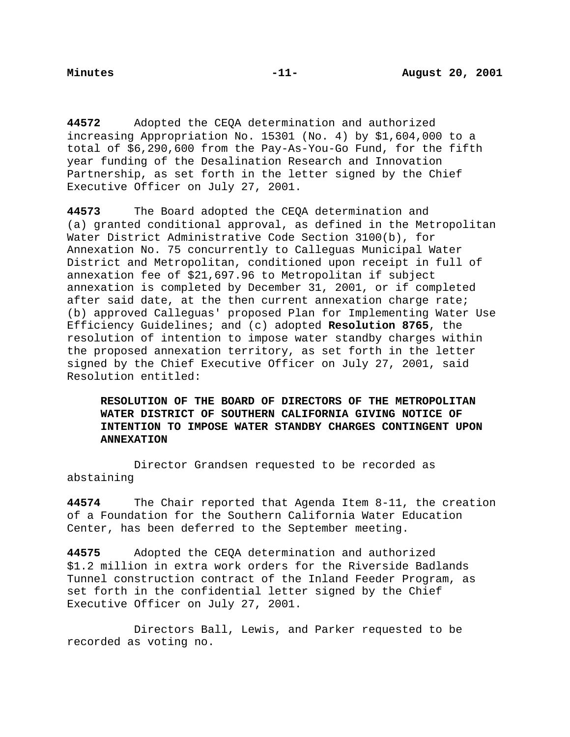**44572** Adopted the CEQA determination and authorized increasing Appropriation No. 15301 (No. 4) by \$1,604,000 to a total of \$6,290,600 from the Pay-As-You-Go Fund, for the fifth year funding of the Desalination Research and Innovation Partnership, as set forth in the letter signed by the Chief Executive Officer on July 27, 2001.

**44573** The Board adopted the CEQA determination and (a) granted conditional approval, as defined in the Metropolitan Water District Administrative Code Section 3100(b), for Annexation No. 75 concurrently to Calleguas Municipal Water District and Metropolitan, conditioned upon receipt in full of annexation fee of \$21,697.96 to Metropolitan if subject annexation is completed by December 31, 2001, or if completed after said date, at the then current annexation charge rate; (b) approved Calleguas' proposed Plan for Implementing Water Use Efficiency Guidelines; and (c) adopted **Resolution 8765**, the resolution of intention to impose water standby charges within the proposed annexation territory, as set forth in the letter signed by the Chief Executive Officer on July 27, 2001, said Resolution entitled:

**RESOLUTION OF THE BOARD OF DIRECTORS OF THE METROPOLITAN WATER DISTRICT OF SOUTHERN CALIFORNIA GIVING NOTICE OF INTENTION TO IMPOSE WATER STANDBY CHARGES CONTINGENT UPON ANNEXATION**

Director Grandsen requested to be recorded as abstaining

**44574** The Chair reported that Agenda Item 8-11, the creation of a Foundation for the Southern California Water Education Center, has been deferred to the September meeting.

**44575** Adopted the CEQA determination and authorized \$1.2 million in extra work orders for the Riverside Badlands Tunnel construction contract of the Inland Feeder Program, as set forth in the confidential letter signed by the Chief Executive Officer on July 27, 2001.

Directors Ball, Lewis, and Parker requested to be recorded as voting no.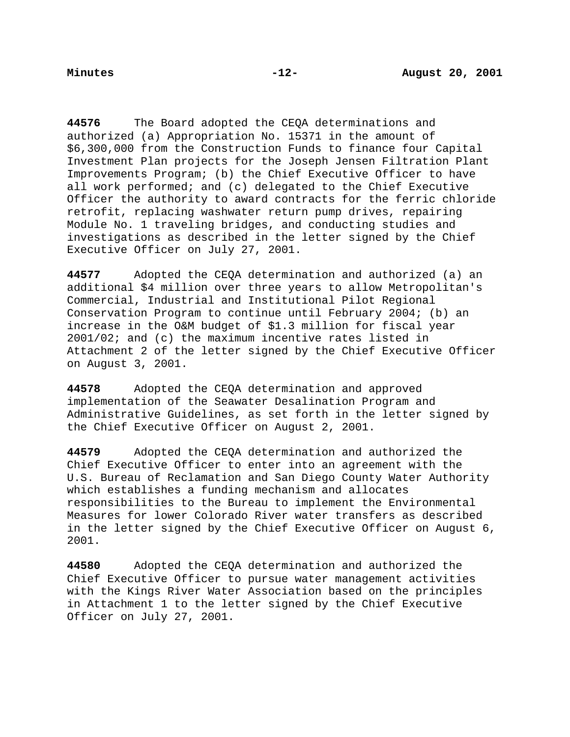**44576** The Board adopted the CEQA determinations and authorized (a) Appropriation No. 15371 in the amount of \$6,300,000 from the Construction Funds to finance four Capital Investment Plan projects for the Joseph Jensen Filtration Plant Improvements Program; (b) the Chief Executive Officer to have all work performed; and (c) delegated to the Chief Executive Officer the authority to award contracts for the ferric chloride retrofit, replacing washwater return pump drives, repairing Module No. 1 traveling bridges, and conducting studies and investigations as described in the letter signed by the Chief Executive Officer on July 27, 2001.

**44577** Adopted the CEQA determination and authorized (a) an additional \$4 million over three years to allow Metropolitan's Commercial, Industrial and Institutional Pilot Regional Conservation Program to continue until February 2004; (b) an increase in the O&M budget of \$1.3 million for fiscal year 2001/02; and (c) the maximum incentive rates listed in Attachment 2 of the letter signed by the Chief Executive Officer on August 3, 2001.

**44578** Adopted the CEQA determination and approved implementation of the Seawater Desalination Program and Administrative Guidelines, as set forth in the letter signed by the Chief Executive Officer on August 2, 2001.

**44579** Adopted the CEQA determination and authorized the Chief Executive Officer to enter into an agreement with the U.S. Bureau of Reclamation and San Diego County Water Authority which establishes a funding mechanism and allocates responsibilities to the Bureau to implement the Environmental Measures for lower Colorado River water transfers as described in the letter signed by the Chief Executive Officer on August 6, 2001.

**44580** Adopted the CEQA determination and authorized the Chief Executive Officer to pursue water management activities with the Kings River Water Association based on the principles in Attachment 1 to the letter signed by the Chief Executive Officer on July 27, 2001.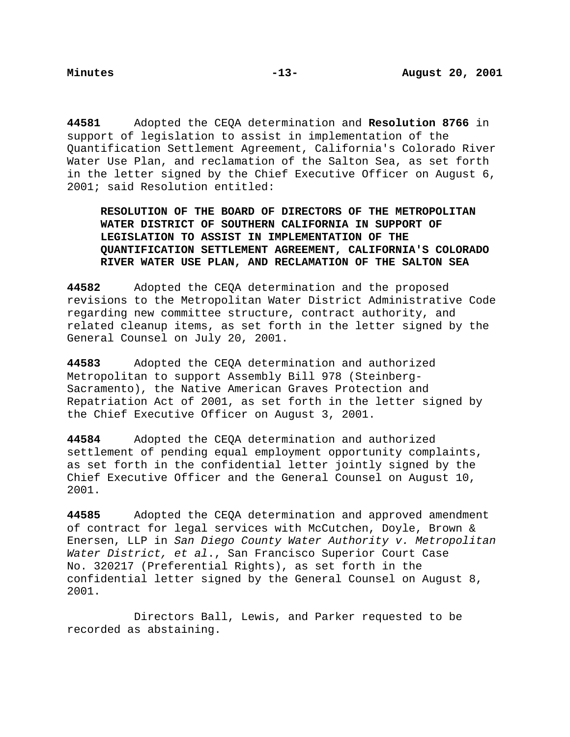**44581** Adopted the CEQA determination and **Resolution 8766** in support of legislation to assist in implementation of the Quantification Settlement Agreement, California's Colorado River Water Use Plan, and reclamation of the Salton Sea, as set forth in the letter signed by the Chief Executive Officer on August 6, 2001; said Resolution entitled:

**RESOLUTION OF THE BOARD OF DIRECTORS OF THE METROPOLITAN WATER DISTRICT OF SOUTHERN CALIFORNIA IN SUPPORT OF LEGISLATION TO ASSIST IN IMPLEMENTATION OF THE QUANTIFICATION SETTLEMENT AGREEMENT, CALIFORNIA'S COLORADO RIVER WATER USE PLAN, AND RECLAMATION OF THE SALTON SEA**

**44582** Adopted the CEQA determination and the proposed revisions to the Metropolitan Water District Administrative Code regarding new committee structure, contract authority, and related cleanup items, as set forth in the letter signed by the General Counsel on July 20, 2001.

**44583** Adopted the CEQA determination and authorized Metropolitan to support Assembly Bill 978 (Steinberg-Sacramento), the Native American Graves Protection and Repatriation Act of 2001, as set forth in the letter signed by the Chief Executive Officer on August 3, 2001.

**44584** Adopted the CEQA determination and authorized settlement of pending equal employment opportunity complaints, as set forth in the confidential letter jointly signed by the Chief Executive Officer and the General Counsel on August 10, 2001.

**44585** Adopted the CEQA determination and approved amendment of contract for legal services with McCutchen, Doyle, Brown & Enersen, LLP in San Diego County Water Authority v. Metropolitan Water District, et al., San Francisco Superior Court Case No. 320217 (Preferential Rights), as set forth in the confidential letter signed by the General Counsel on August 8, 2001.

Directors Ball, Lewis, and Parker requested to be recorded as abstaining.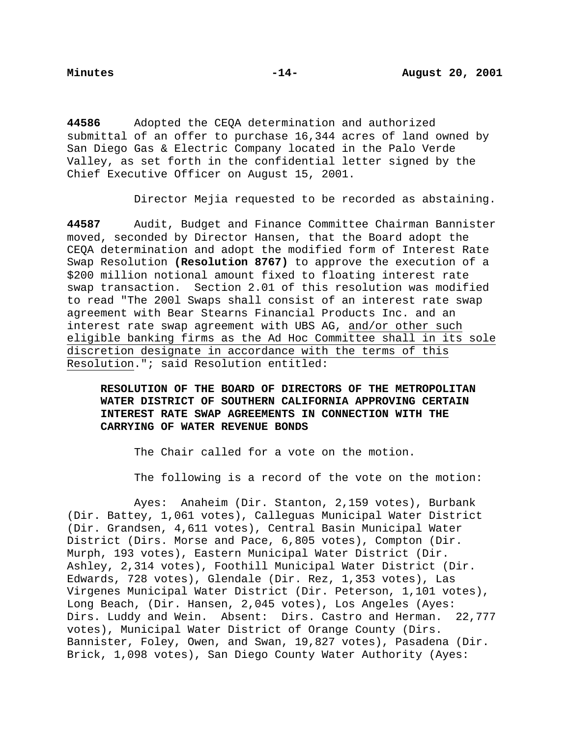**44586** Adopted the CEQA determination and authorized submittal of an offer to purchase 16,344 acres of land owned by San Diego Gas & Electric Company located in the Palo Verde Valley, as set forth in the confidential letter signed by the Chief Executive Officer on August 15, 2001.

Director Mejia requested to be recorded as abstaining.

**44587** Audit, Budget and Finance Committee Chairman Bannister moved, seconded by Director Hansen, that the Board adopt the CEQA determination and adopt the modified form of Interest Rate Swap Resolution **(Resolution 8767)** to approve the execution of a \$200 million notional amount fixed to floating interest rate swap transaction. Section 2.01 of this resolution was modified to read "The 200l Swaps shall consist of an interest rate swap agreement with Bear Stearns Financial Products Inc. and an interest rate swap agreement with UBS AG, and/or other such eligible banking firms as the Ad Hoc Committee shall in its sole discretion designate in accordance with the terms of this Resolution."; said Resolution entitled:

**RESOLUTION OF THE BOARD OF DIRECTORS OF THE METROPOLITAN WATER DISTRICT OF SOUTHERN CALIFORNIA APPROVING CERTAIN INTEREST RATE SWAP AGREEMENTS IN CONNECTION WITH THE CARRYING OF WATER REVENUE BONDS**

The Chair called for a vote on the motion.

The following is a record of the vote on the motion:

Ayes: Anaheim (Dir. Stanton, 2,159 votes), Burbank (Dir. Battey, 1,061 votes), Calleguas Municipal Water District (Dir. Grandsen, 4,611 votes), Central Basin Municipal Water District (Dirs. Morse and Pace, 6,805 votes), Compton (Dir. Murph, 193 votes), Eastern Municipal Water District (Dir. Ashley, 2,314 votes), Foothill Municipal Water District (Dir. Edwards, 728 votes), Glendale (Dir. Rez, 1,353 votes), Las Virgenes Municipal Water District (Dir. Peterson, 1,101 votes), Long Beach, (Dir. Hansen, 2,045 votes), Los Angeles (Ayes: Dirs. Luddy and Wein. Absent: Dirs. Castro and Herman. 22,777 votes), Municipal Water District of Orange County (Dirs. Bannister, Foley, Owen, and Swan, 19,827 votes), Pasadena (Dir. Brick, 1,098 votes), San Diego County Water Authority (Ayes: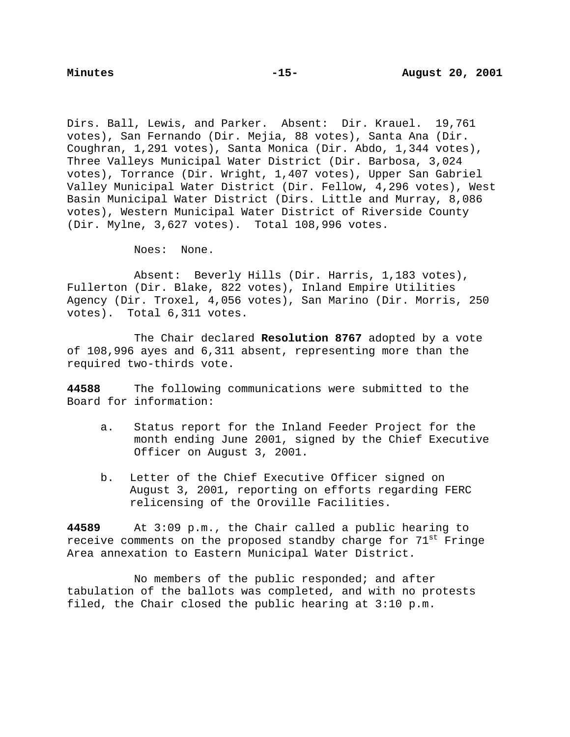Dirs. Ball, Lewis, and Parker. Absent: Dir. Krauel. 19,761 votes), San Fernando (Dir. Mejia, 88 votes), Santa Ana (Dir. Coughran, 1,291 votes), Santa Monica (Dir. Abdo, 1,344 votes), Three Valleys Municipal Water District (Dir. Barbosa, 3,024 votes), Torrance (Dir. Wright, 1,407 votes), Upper San Gabriel Valley Municipal Water District (Dir. Fellow, 4,296 votes), West Basin Municipal Water District (Dirs. Little and Murray, 8,086 votes), Western Municipal Water District of Riverside County (Dir. Mylne, 3,627 votes). Total 108,996 votes.

Noes: None.

Absent: Beverly Hills (Dir. Harris, 1,183 votes), Fullerton (Dir. Blake, 822 votes), Inland Empire Utilities Agency (Dir. Troxel, 4,056 votes), San Marino (Dir. Morris, 250 votes). Total 6,311 votes.

The Chair declared **Resolution 8767** adopted by a vote of 108,996 ayes and 6,311 absent, representing more than the required two-thirds vote.

**44588** The following communications were submitted to the Board for information:

- a. Status report for the Inland Feeder Project for the month ending June 2001, signed by the Chief Executive Officer on August 3, 2001.
- b. Letter of the Chief Executive Officer signed on August 3, 2001, reporting on efforts regarding FERC relicensing of the Oroville Facilities.

**44589** At 3:09 p.m., the Chair called a public hearing to receive comments on the proposed standby charge for 71<sup>st</sup> Fringe Area annexation to Eastern Municipal Water District.

No members of the public responded; and after tabulation of the ballots was completed, and with no protests filed, the Chair closed the public hearing at 3:10 p.m.